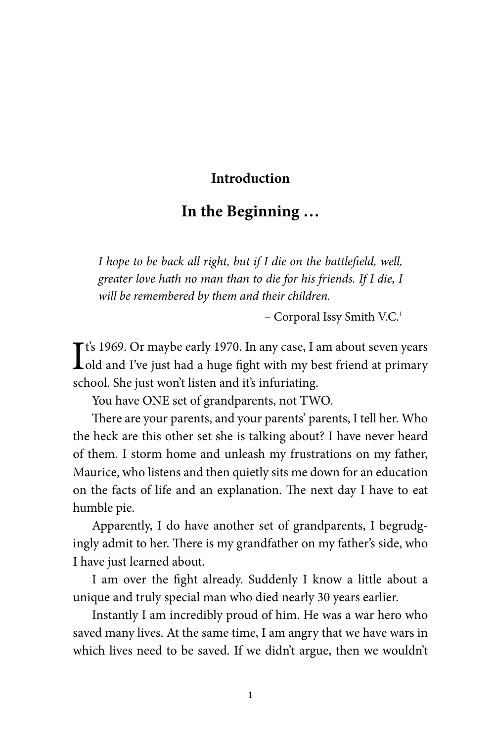## **Introduction**

## **In the Beginning …**

*I hope to be back all right, but if I die on the battlefield, well, greater love hath no man than to die for his friends. If I die, I will be remembered by them and their children.*

– Corporal Issy Smith V.C.1

It's 1969. Or maybe early 1970. In any case, I am about seven years<br>old and I've just had a huge fight with my best friend at primary  $\blacktriangle$  old and I've just had a huge fight with my best friend at primary school. She just won't listen and it's infuriating.

You have ONE set of grandparents, not TWO*.*

There are your parents, and your parents' parents, I tell her. Who the heck are this other set she is talking about? I have never heard of them. I storm home and unleash my frustrations on my father, Maurice, who listens and then quietly sits me down for an education on the facts of life and an explanation. The next day I have to eat humble pie.

Apparently, I do have another set of grandparents, I begrudgingly admit to her. There is my grandfather on my father's side, who I have just learned about.

I am over the fight already. Suddenly I know a little about a unique and truly special man who died nearly 30 years earlier.

Instantly I am incredibly proud of him. He was a war hero who saved many lives. At the same time, I am angry that we have wars in which lives need to be saved. If we didn't argue, then we wouldn't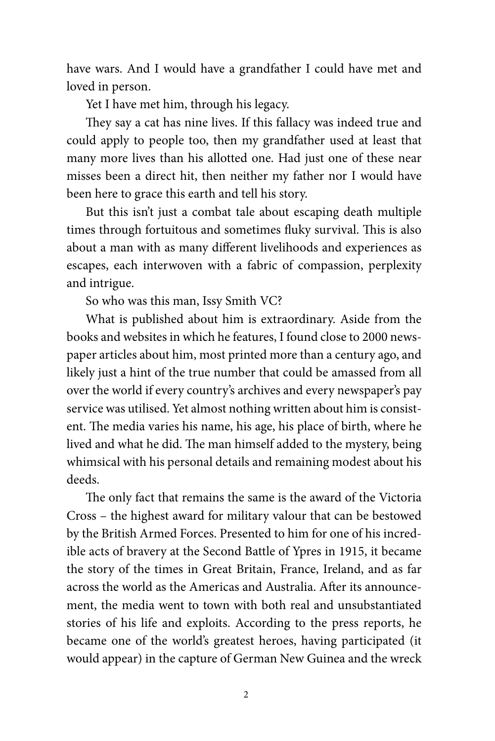have wars. And I would have a grandfather I could have met and loved in person.

Yet I have met him, through his legacy.

They say a cat has nine lives. If this fallacy was indeed true and could apply to people too, then my grandfather used at least that many more lives than his allotted one. Had just one of these near misses been a direct hit, then neither my father nor I would have been here to grace this earth and tell his story.

But this isn't just a combat tale about escaping death multiple times through fortuitous and sometimes fluky survival. This is also about a man with as many different livelihoods and experiences as escapes, each interwoven with a fabric of compassion, perplexity and intrigue.

So who was this man, Issy Smith VC?

What is published about him is extraordinary. Aside from the books and websites in which he features, I found close to 2000 newspaper articles about him, most printed more than a century ago, and likely just a hint of the true number that could be amassed from all over the world if every country's archives and every newspaper's pay service was utilised. Yet almost nothing written about him is consistent. The media varies his name, his age, his place of birth, where he lived and what he did. The man himself added to the mystery, being whimsical with his personal details and remaining modest about his deeds.

The only fact that remains the same is the award of the Victoria Cross – the highest award for military valour that can be bestowed by the British Armed Forces. Presented to him for one of his incredible acts of bravery at the Second Battle of Ypres in 1915, it became the story of the times in Great Britain, France, Ireland, and as far across the world as the Americas and Australia. After its announcement, the media went to town with both real and unsubstantiated stories of his life and exploits. According to the press reports, he became one of the world's greatest heroes, having participated (it would appear) in the capture of German New Guinea and the wreck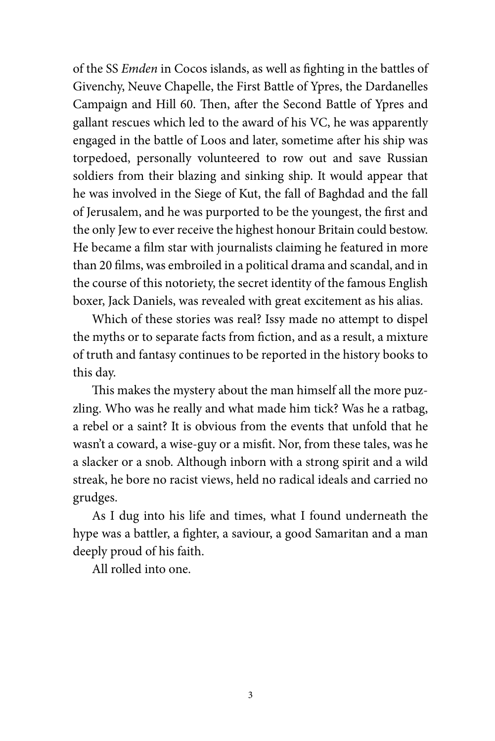of the SS *Emden* in Cocos islands, as well as fighting in the battles of Givenchy, Neuve Chapelle, the First Battle of Ypres, the Dardanelles Campaign and Hill 60. Then, after the Second Battle of Ypres and gallant rescues which led to the award of his VC, he was apparently engaged in the battle of Loos and later, sometime after his ship was torpedoed, personally volunteered to row out and save Russian soldiers from their blazing and sinking ship. It would appear that he was involved in the Siege of Kut, the fall of Baghdad and the fall of Jerusalem, and he was purported to be the youngest, the first and the only Jew to ever receive the highest honour Britain could bestow. He became a film star with journalists claiming he featured in more than 20 films, was embroiled in a political drama and scandal, and in the course of this notoriety, the secret identity of the famous English boxer, Jack Daniels, was revealed with great excitement as his alias.

Which of these stories was real? Issy made no attempt to dispel the myths or to separate facts from fiction, and as a result, a mixture of truth and fantasy continues to be reported in the history books to this day.

This makes the mystery about the man himself all the more puzzling. Who was he really and what made him tick? Was he a ratbag, a rebel or a saint? It is obvious from the events that unfold that he wasn't a coward, a wise-guy or a misfit. Nor, from these tales, was he a slacker or a snob. Although inborn with a strong spirit and a wild streak, he bore no racist views, held no radical ideals and carried no grudges.

As I dug into his life and times, what I found underneath the hype was a battler, a fighter, a saviour, a good Samaritan and a man deeply proud of his faith.

All rolled into one.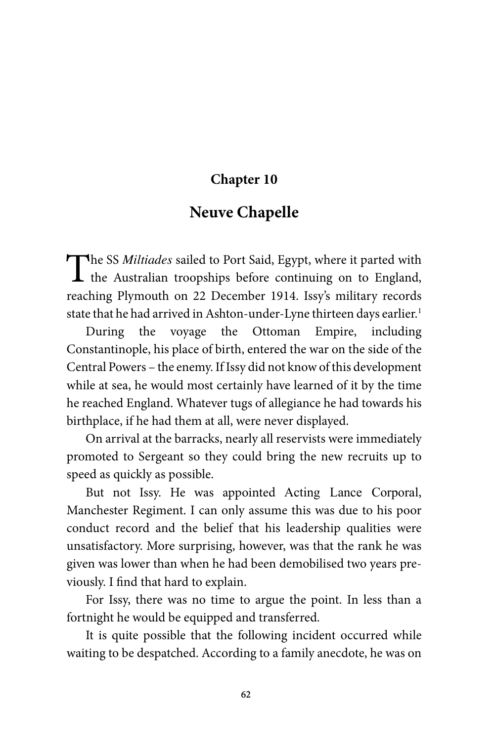## **Chapter 10**

## **Neuve Chapelle**

The SS Miltiades sailed to Port Said, Egypt, where it parted with the Australian troopships before continuing on to England, reaching Plymouth on 22 December 1914. Issy's military records state that he had arrived in Ashton-under-Lyne thirteen days earlier.<sup>1</sup>

During the voyage the Ottoman Empire, including Constantinople, his place of birth, entered the war on the side of the Central Powers – the enemy. If Issy did not know of this development while at sea, he would most certainly have learned of it by the time he reached England. Whatever tugs of allegiance he had towards his birthplace, if he had them at all, were never displayed.

On arrival at the barracks, nearly all reservists were immediately promoted to Sergeant so they could bring the new recruits up to speed as quickly as possible.

But not Issy. He was appointed Acting Lance Corporal, Manchester Regiment. I can only assume this was due to his poor conduct record and the belief that his leadership qualities were unsatisfactory. More surprising, however, was that the rank he was given was lower than when he had been demobilised two years previously. I find that hard to explain.

For Issy, there was no time to argue the point. In less than a fortnight he would be equipped and transferred.

It is quite possible that the following incident occurred while waiting to be despatched. According to a family anecdote, he was on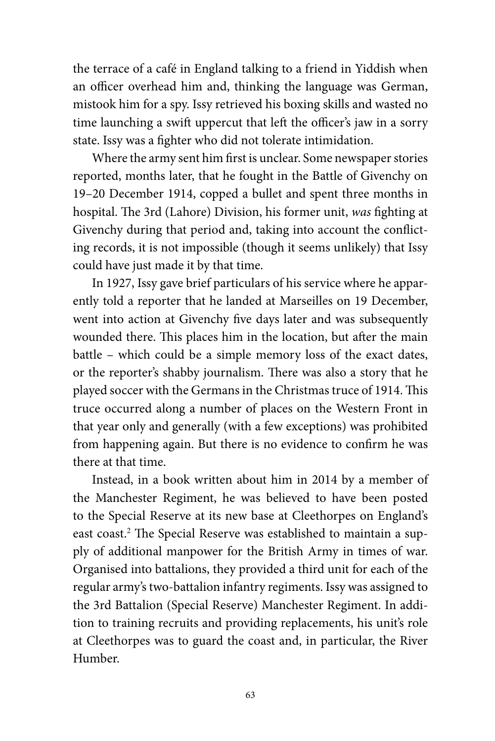the terrace of a café in England talking to a friend in Yiddish when an officer overhead him and, thinking the language was German, mistook him for a spy. Issy retrieved his boxing skills and wasted no time launching a swift uppercut that left the officer's jaw in a sorry state. Issy was a fighter who did not tolerate intimidation.

Where the army sent him first is unclear. Some newspaper stories reported, months later, that he fought in the Battle of Givenchy on 19–20 December 1914, copped a bullet and spent three months in hospital. The 3rd (Lahore) Division, his former unit, *was* fighting at Givenchy during that period and, taking into account the conflicting records, it is not impossible (though it seems unlikely) that Issy could have just made it by that time.

In 1927, Issy gave brief particulars of his service where he apparently told a reporter that he landed at Marseilles on 19 December, went into action at Givenchy five days later and was subsequently wounded there. This places him in the location, but after the main battle – which could be a simple memory loss of the exact dates, or the reporter's shabby journalism. There was also a story that he played soccer with the Germans in the Christmas truce of 1914. This truce occurred along a number of places on the Western Front in that year only and generally (with a few exceptions) was prohibited from happening again. But there is no evidence to confirm he was there at that time.

Instead, in a book written about him in 2014 by a member of the Manchester Regiment, he was believed to have been posted to the Special Reserve at its new base at Cleethorpes on England's east coast.<sup>2</sup> The Special Reserve was established to maintain a supply of additional manpower for the British Army in times of war. Organised into battalions, they provided a third unit for each of the regular army's two-battalion infantry regiments. Issy was assigned to the 3rd Battalion (Special Reserve) Manchester Regiment. In addition to training recruits and providing replacements, his unit's role at Cleethorpes was to guard the coast and, in particular, the River Humber.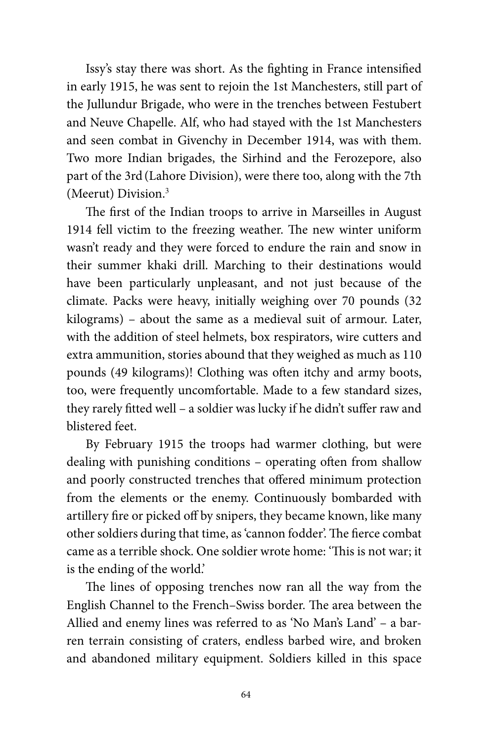Issy's stay there was short. As the fighting in France intensified in early 1915, he was sent to rejoin the 1st Manchesters, still part of the Jullundur Brigade, who were in the trenches between Festubert and Neuve Chapelle. Alf, who had stayed with the 1st Manchesters and seen combat in Givenchy in December 1914, was with them. Two more Indian brigades, the Sirhind and the Ferozepore, also part of the 3rd (Lahore Division), were there too, along with the 7th (Meerut) Division.<sup>3</sup>

The first of the Indian troops to arrive in Marseilles in August 1914 fell victim to the freezing weather. The new winter uniform wasn't ready and they were forced to endure the rain and snow in their summer khaki drill. Marching to their destinations would have been particularly unpleasant, and not just because of the climate. Packs were heavy, initially weighing over 70 pounds (32 kilograms) – about the same as a medieval suit of armour. Later, with the addition of steel helmets, box respirators, wire cutters and extra ammunition, stories abound that they weighed as much as 110 pounds (49 kilograms)! Clothing was often itchy and army boots, too, were frequently uncomfortable. Made to a few standard sizes, they rarely fitted well – a soldier was lucky if he didn't suffer raw and blistered feet.

By February 1915 the troops had warmer clothing, but were dealing with punishing conditions – operating often from shallow and poorly constructed trenches that offered minimum protection from the elements or the enemy. Continuously bombarded with artillery fire or picked off by snipers, they became known, like many other soldiers during that time, as 'cannon fodder'. The fierce combat came as a terrible shock. One soldier wrote home: 'This is not war; it is the ending of the world.'

The lines of opposing trenches now ran all the way from the English Channel to the French–Swiss border. The area between the Allied and enemy lines was referred to as 'No Man's Land' – a barren terrain consisting of craters, endless barbed wire, and broken and abandoned military equipment. Soldiers killed in this space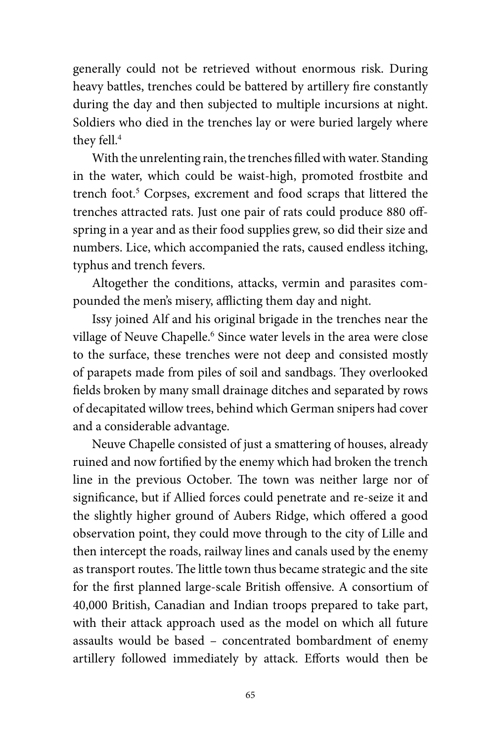generally could not be retrieved without enormous risk. During heavy battles, trenches could be battered by artillery fire constantly during the day and then subjected to multiple incursions at night. Soldiers who died in the trenches lay or were buried largely where they fell.<sup>4</sup>

With the unrelenting rain, the trenches filled with water. Standing in the water, which could be waist-high, promoted frostbite and trench foot.<sup>5</sup> Corpses, excrement and food scraps that littered the trenches attracted rats. Just one pair of rats could produce 880 offspring in a year and as their food supplies grew, so did their size and numbers. Lice, which accompanied the rats, caused endless itching, typhus and trench fevers.

Altogether the conditions, attacks, vermin and parasites compounded the men's misery, afflicting them day and night.

Issy joined Alf and his original brigade in the trenches near the village of Neuve Chapelle.<sup>6</sup> Since water levels in the area were close to the surface, these trenches were not deep and consisted mostly of parapets made from piles of soil and sandbags. They overlooked fields broken by many small drainage ditches and separated by rows of decapitated willow trees, behind which German snipers had cover and a considerable advantage.

Neuve Chapelle consisted of just a smattering of houses, already ruined and now fortified by the enemy which had broken the trench line in the previous October. The town was neither large nor of significance, but if Allied forces could penetrate and re-seize it and the slightly higher ground of Aubers Ridge, which offered a good observation point, they could move through to the city of Lille and then intercept the roads, railway lines and canals used by the enemy as transport routes. The little town thus became strategic and the site for the first planned large-scale British offensive. A consortium of 40,000 British, Canadian and Indian troops prepared to take part, with their attack approach used as the model on which all future assaults would be based – concentrated bombardment of enemy artillery followed immediately by attack. Efforts would then be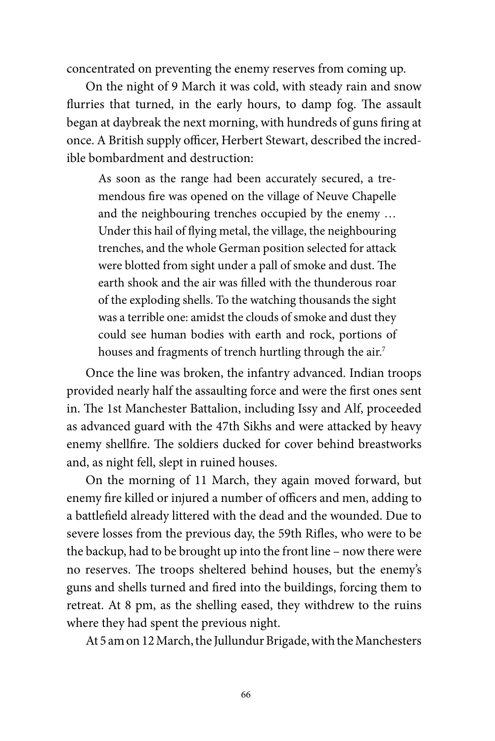concentrated on preventing the enemy reserves from coming up.

On the night of 9 March it was cold, with steady rain and snow flurries that turned, in the early hours, to damp fog. The assault began at daybreak the next morning, with hundreds of guns firing at once. A British supply officer, Herbert Stewart, described the incredible bombardment and destruction:

As soon as the range had been accurately secured, a tremendous fire was opened on the village of Neuve Chapelle and the neighbouring trenches occupied by the enemy … Under this hail of flying metal, the village, the neighbouring trenches, and the whole German position selected for attack were blotted from sight under a pall of smoke and dust. The earth shook and the air was filled with the thunderous roar of the exploding shells. To the watching thousands the sight was a terrible one: amidst the clouds of smoke and dust they could see human bodies with earth and rock, portions of houses and fragments of trench hurtling through the air.<sup>7</sup>

Once the line was broken, the infantry advanced. Indian troops provided nearly half the assaulting force and were the first ones sent in. The 1st Manchester Battalion, including Issy and Alf, proceeded as advanced guard with the 47th Sikhs and were attacked by heavy enemy shellfire. The soldiers ducked for cover behind breastworks and, as night fell, slept in ruined houses.

On the morning of 11 March, they again moved forward, but enemy fire killed or injured a number of officers and men, adding to a battlefield already littered with the dead and the wounded. Due to severe losses from the previous day, the 59th Rifles, who were to be the backup, had to be brought up into the front line – now there were no reserves. The troops sheltered behind houses, but the enemy's guns and shells turned and fired into the buildings, forcing them to retreat. At 8 pm, as the shelling eased, they withdrew to the ruins where they had spent the previous night.

At 5 am on 12 March, the Jullundur Brigade, with the Manchesters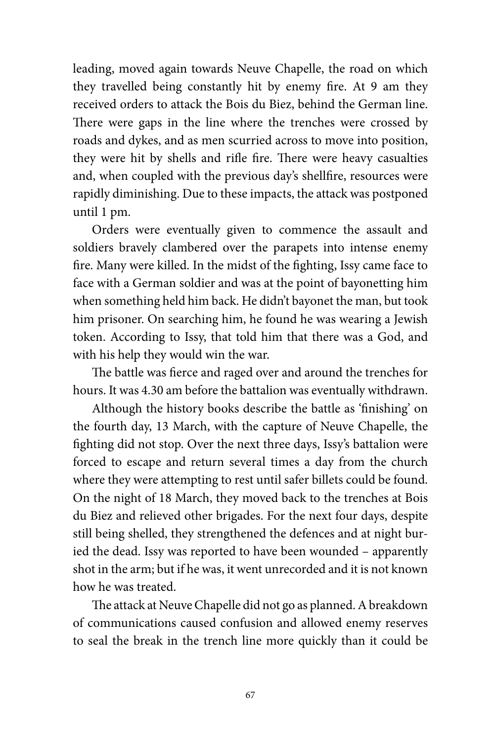leading, moved again towards Neuve Chapelle, the road on which they travelled being constantly hit by enemy fire. At 9 am they received orders to attack the Bois du Biez, behind the German line. There were gaps in the line where the trenches were crossed by roads and dykes, and as men scurried across to move into position, they were hit by shells and rifle fire. There were heavy casualties and, when coupled with the previous day's shellfire, resources were rapidly diminishing. Due to these impacts, the attack was postponed until 1 pm.

Orders were eventually given to commence the assault and soldiers bravely clambered over the parapets into intense enemy fire. Many were killed. In the midst of the fighting, Issy came face to face with a German soldier and was at the point of bayonetting him when something held him back. He didn't bayonet the man, but took him prisoner. On searching him, he found he was wearing a Jewish token. According to Issy, that told him that there was a God, and with his help they would win the war.

The battle was fierce and raged over and around the trenches for hours. It was 4.30 am before the battalion was eventually withdrawn.

Although the history books describe the battle as 'finishing' on the fourth day, 13 March, with the capture of Neuve Chapelle, the fighting did not stop. Over the next three days, Issy's battalion were forced to escape and return several times a day from the church where they were attempting to rest until safer billets could be found. On the night of 18 March, they moved back to the trenches at Bois du Biez and relieved other brigades. For the next four days, despite still being shelled, they strengthened the defences and at night buried the dead. Issy was reported to have been wounded – apparently shot in the arm; but if he was, it went unrecorded and it is not known how he was treated.

The attack at Neuve Chapelle did not go as planned. A breakdown of communications caused confusion and allowed enemy reserves to seal the break in the trench line more quickly than it could be